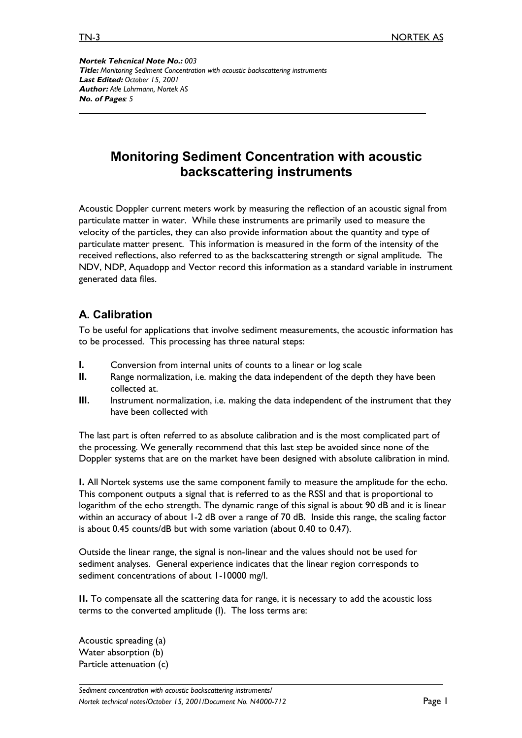$\overline{a}$ 

**Nortek Tehcnical Note No.:** *003* **Title:** *Monitoring Sediment Concentration with acoustic backscattering instruments* **Last Edited:** *October 15, 2001* **Author:** *Atle Lohrmann, Nortek AS* **No. of Pages***: 5*

# **Monitoring Sediment Concentration with acoustic backscattering instruments**

Acoustic Doppler current meters work by measuring the reflection of an acoustic signal from particulate matter in water. While these instruments are primarily used to measure the velocity of the particles, they can also provide information about the quantity and type of particulate matter present. This information is measured in the form of the intensity of the received reflections, also referred to as the backscattering strength or signal amplitude. The NDV, NDP, Aquadopp and Vector record this information as a standard variable in instrument generated data files.

## **A. Calibration**

To be useful for applications that involve sediment measurements, the acoustic information has to be processed. This processing has three natural steps:

- **I.** Conversion from internal units of counts to a linear or log scale
- **II.** Range normalization, i.e. making the data independent of the depth they have been collected at.
- **III.** Instrument normalization, i.e. making the data independent of the instrument that they have been collected with

The last part is often referred to as absolute calibration and is the most complicated part of the processing. We generally recommend that this last step be avoided since none of the Doppler systems that are on the market have been designed with absolute calibration in mind.

**I.** All Nortek systems use the same component family to measure the amplitude for the echo. This component outputs a signal that is referred to as the RSSI and that is proportional to logarithm of the echo strength. The dynamic range of this signal is about 90 dB and it is linear within an accuracy of about 1-2 dB over a range of 70 dB. Inside this range, the scaling factor is about 0.45 counts/dB but with some variation (about 0.40 to 0.47).

Outside the linear range, the signal is non-linear and the values should not be used for sediment analyses. General experience indicates that the linear region corresponds to sediment concentrations of about 1-10000 mg/l.

**II.** To compensate all the scattering data for range, it is necessary to add the acoustic loss terms to the converted amplitude (I). The loss terms are:

Acoustic spreading (a) Water absorption (b) Particle attenuation (c)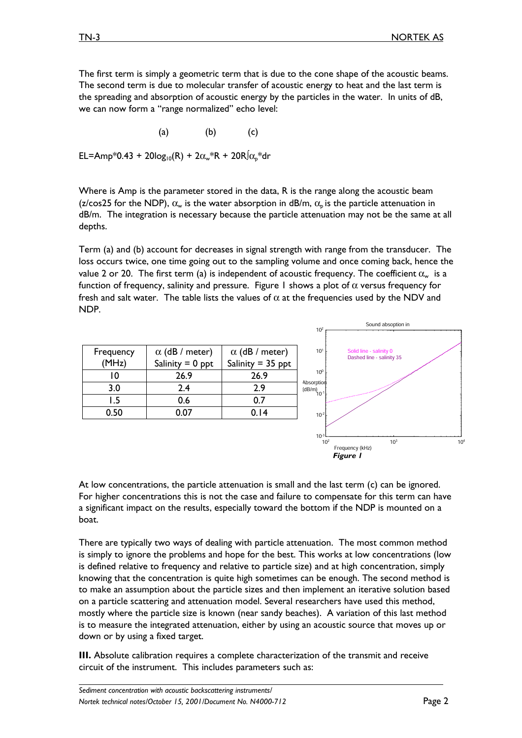The first term is simply a geometric term that is due to the cone shape of the acoustic beams. The second term is due to molecular transfer of acoustic energy to heat and the last term is the spreading and absorption of acoustic energy by the particles in the water. In units of dB, we can now form a "range normalized" echo level:

$$
(a) \qquad \qquad (b) \qquad \qquad (c)
$$

EL=Amp\*0.43 + 20log<sub>10</sub>(R) + 2 $\alpha_{w}$ \*R + 20R $\int \alpha_{p}$ \*dr

Where is Amp is the parameter stored in the data, R is the range along the acoustic beam (z/cos25 for the NDP),  $\alpha_w$  is the water absorption in dB/m,  $\alpha_n$  is the particle attenuation in dB/m. The integration is necessary because the particle attenuation may not be the same at all depths.

Term (a) and (b) account for decreases in signal strength with range from the transducer. The loss occurs twice, one time going out to the sampling volume and once coming back, hence the value 2 or 20. The first term (a) is independent of acoustic frequency. The coefficient  $\alpha_{w}$  is a function of frequency, salinity and pressure. Figure 1 shows a plot of  $\alpha$  versus frequency for fresh and salt water. The table lists the values of  $\alpha$  at the frequencies used by the NDV and NDP.



At low concentrations, the particle attenuation is small and the last term (c) can be ignored. For higher concentrations this is not the case and failure to compensate for this term can have a significant impact on the results, especially toward the bottom if the NDP is mounted on a boat.

There are typically two ways of dealing with particle attenuation. The most common method is simply to ignore the problems and hope for the best. This works at low concentrations (low is defined relative to frequency and relative to particle size) and at high concentration, simply knowing that the concentration is quite high sometimes can be enough. The second method is to make an assumption about the particle sizes and then implement an iterative solution based on a particle scattering and attenuation model. Several researchers have used this method, mostly where the particle size is known (near sandy beaches). A variation of this last method is to measure the integrated attenuation, either by using an acoustic source that moves up or down or by using a fixed target.

**III.** Absolute calibration requires a complete characterization of the transmit and receive circuit of the instrument. This includes parameters such as: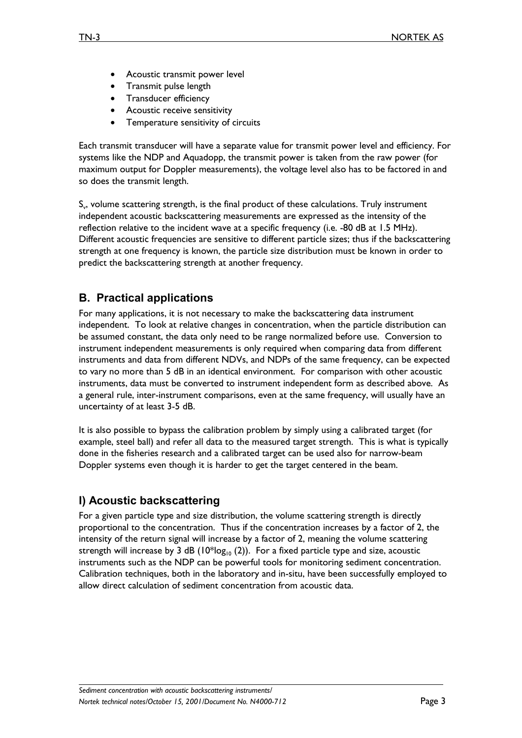- Acoustic transmit power level
- Transmit pulse length
- Transducer efficiency
- Acoustic receive sensitivity
- Temperature sensitivity of circuits

Each transmit transducer will have a separate value for transmit power level and efficiency. For systems like the NDP and Aquadopp, the transmit power is taken from the raw power (for maximum output for Doppler measurements), the voltage level also has to be factored in and so does the transmit length.

 $S_{\nu}$ , volume scattering strength, is the final product of these calculations. Truly instrument independent acoustic backscattering measurements are expressed as the intensity of the reflection relative to the incident wave at a specific frequency (i.e. -80 dB at 1.5 MHz). Different acoustic frequencies are sensitive to different particle sizes; thus if the backscattering strength at one frequency is known, the particle size distribution must be known in order to predict the backscattering strength at another frequency.

## **B. Practical applications**

For many applications, it is not necessary to make the backscattering data instrument independent. To look at relative changes in concentration, when the particle distribution can be assumed constant, the data only need to be range normalized before use. Conversion to instrument independent measurements is only required when comparing data from different instruments and data from different NDVs, and NDPs of the same frequency, can be expected to vary no more than 5 dB in an identical environment. For comparison with other acoustic instruments, data must be converted to instrument independent form as described above. As a general rule, inter-instrument comparisons, even at the same frequency, will usually have an uncertainty of at least 3-5 dB.

It is also possible to bypass the calibration problem by simply using a calibrated target (for example, steel ball) and refer all data to the measured target strength. This is what is typically done in the fisheries research and a calibrated target can be used also for narrow-beam Doppler systems even though it is harder to get the target centered in the beam.

#### **I) Acoustic backscattering**

For a given particle type and size distribution, the volume scattering strength is directly proportional to the concentration. Thus if the concentration increases by a factor of 2, the intensity of the return signal will increase by a factor of 2, meaning the volume scattering strength will increase by 3 dB ( $10*log_{10} (2)$ ). For a fixed particle type and size, acoustic instruments such as the NDP can be powerful tools for monitoring sediment concentration. Calibration techniques, both in the laboratory and in-situ, have been successfully employed to allow direct calculation of sediment concentration from acoustic data.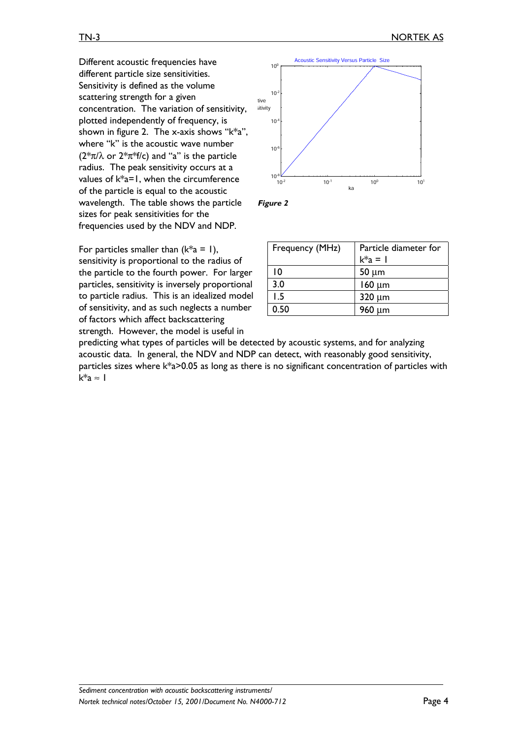Different acoustic frequencies have different particle size sensitivities. Sensitivity is defined as the volume scattering strength for a given concentration. The variation of sensitivity, plotted independently of frequency, is shown in figure 2. The x-axis shows " $k^*a$ ", where "k" is the acoustic wave number  $(2*\pi/\lambda$  or  $2*\pi*\mathsf{f}/c$ ) and "a" is the particle radius. The peak sensitivity occurs at a values of k\*a=1, when the circumference of the particle is equal to the acoustic wavelength. The table shows the particle sizes for peak sensitivities for the frequencies used by the NDV and NDP.

For particles smaller than  $(k^*a = 1)$ , sensitivity is proportional to the radius of the particle to the fourth power. For larger particles, sensitivity is inversely proportional to particle radius. This is an idealized model of sensitivity, and as such neglects a number of factors which affect backscattering strength. However, the model is useful in





| Frequency (MHz) | Particle diameter for<br>$k^*a = 1$ |
|-----------------|-------------------------------------|
| 10              | $50 \mu m$                          |
| 3.0             | $160 \mu m$                         |
| 1.5             | $320 \mu m$                         |
| 0.50            | 960 µm                              |

predicting what types of particles will be detected by acoustic systems, and for analyzing acoustic data. In general, the NDV and NDP can detect, with reasonably good sensitivity, particles sizes where k\*a>0.05 as long as there is no significant concentration of particles with  $k^*a \approx 1$